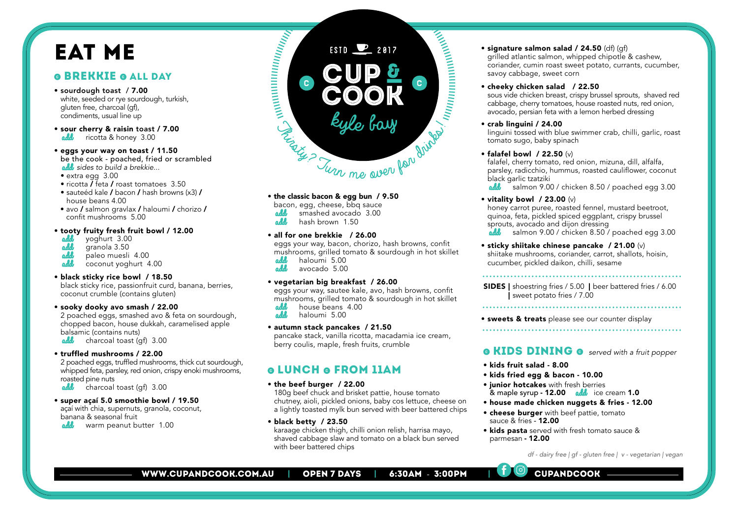## EAT ME

## **O BREKKIE O ALL DAY**

- sourdough toast / 7.00 white, seeded or rye sourdough, turkish, gluten free, charcoal (gf), condiments, usual line up
- sour cherry & raisin toast / 7.00<br>add ricotta & honev 3.00 ricotta & honey 3.00
- eggs your way on toast / 11.50 be the cook - poached, fried or scrambled add *sides to build a brekkie*...
- $\bullet$  extra egg  $3.00$
- ricotta / feta / roast tomatoes 3.50
- sauteéd kale / bacon / hash browns (x3) / house beans 4.00
- avo / salmon gravlax / haloumi / chorizo / confit mushrooms 5.00

#### • tooty fruity fresh fruit bowl / 12.00

- add yoghurt 3.00<br>add granola 3.50
- **add** granola 3.50<br>**add** paleo muesli
- paleo muesli 4.00
- coconut yoghurt 4.00

#### • black sticky rice bowl / 18.50

black sticky rice, passionfruit curd, banana, berries, coconut crumble (contains gluten)

#### • sooky dooky avo smash / 22.00

2 poached eggs, smashed avo & feta on sourdough, chopped bacon, house dukkah, caramelised apple balsamic (contains nuts)<br>**add** charcoal toast (c  $charcoal toast (af) 3.00$ 

• truffled mushrooms / 22.00

2 poached eggs, truffled mushrooms, thick cut sourdough, whipped feta, parsley, red onion, crispy enoki mushrooms, roasted pine nuts

add charcoal toast (qf) 3.00

#### • super açaí 5.0 smoothie bowl / 19.50

açaí with chia, supernuts, granola, coconut, banana & seasonal fruit

add warm peanut butter 1.00



### • the classic bacon & egg bun / 9.50

bacon, egg, cheese, bbq sauce add smashed avocado 3.00 hash brown 1.50

#### • all for one brekkie / 26.00

eggs your way, bacon, chorizo, hash browns, confit mushrooms, grilled tomato & sourdough in hot skillet<br>add baloumi 5.00 add haloumi 5.00<br>add avocado 5.00

avocado 5.00

#### • vegetarian big breakfast / 26.00

eggs your way, sautee kale, avo, hash browns, confit mushrooms, grilled tomato & sourdough in hot skillet

- add house beans 4.00
- haloumi 5.00

#### • autumn stack pancakes / 21.50

pancake stack, vanilla ricotta, macadamia ice cream, berry coulis, maple, fresh fruits, crumble

## **QLUNCH Q FROM 11AM**

#### • the beef burger / 22.00

180g beef chuck and brisket pattie, house tomato chutney, aioli, pickled onions, baby cos lettuce, cheese on a lightly toasted mylk bun served with beer battered chips

• black betty / 23.50

karaage chicken thigh, chilli onion relish, harrisa mayo, shaved cabbage slaw and tomato on a black bun served with beer battered chips

## • signature salmon salad / 24.50 (df) (gf)

grilled atlantic salmon, whipped chipotle & cashew, coriander, cumin roast sweet potato, currants, cucumber, savoy cabbage, sweet corn

#### • cheeky chicken salad / 22.50

sous vide chicken breast, crispy brussel sprouts, shaved red cabbage, cherry tomatoes, house roasted nuts, red onion, avocado, persian feta with a lemon herbed dressing

#### • crab linguini / 24.00

linguini tossed with blue swimmer crab, chilli, garlic, roast tomato sugo, baby spinach

### • falafel bowl / 22.50 (v)

falafel, cherry tomato, red onion, mizuna, dill, alfalfa, parsley, radicchio, hummus, roasted cauliflower, coconut black garlic tzatziki

add salmon 9.00 / chicken 8.50 / poached egg 3.00

## • vitality bowl / 23.00 (v)

honey carrot puree, roasted fennel, mustard beetroot, quinoa, feta, pickled spiced eggplant, crispy brussel sprouts, avocado and dijon dressing

- salmon 9.00 / chicken 8.50 / poached egg 3.00
- sticky shiitake chinese pancake / 21.00 (v) shiitake mushrooms, coriander, carrot, shallots, hoisin, cucumber, pickled daikon, chilli, sesame

 SIDES | shoestring fries / 5.00 | beer battered fries / 6.00 | sweet potato fries / 7.00

**• sweets & treats** please see our counter display

## **e KIDS DINING @** served with a fruit popper

- kids fruit salad 8.00
- kids fried egg & bacon 10.00
- **junior hotcakes** with fresh berries  $\&$  maple syrup - 12.00  $\&$  dd ice cream 1.0
- house made chicken nuggets & fries 12.00
- **cheese burger** with beef pattie, tomato sauce & fries - 12.00
- kids pasta served with fresh tomato sauce & parmesan - 12.00

 *df - dairy free | gf - gluten free | v - vegetarian | vegan*

WWW.CUPANDCOOK.COM.AU | OPEN 7 DAYS | | 6:30AM - 3:00PM | |  $\bigcup_{i=1}^{\infty}$  CUPANDCOOK